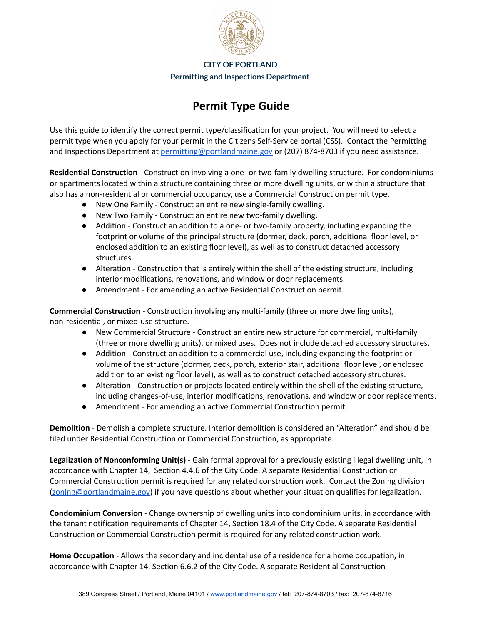

**CITY OF PORTLAND**

**Permitting and Inspections Department**

## **Permit Type Guide**

Use this guide to identify the correct permit type/classification for your project. You will need to select a permit type when you apply for your permit in the Citizens Self-Service portal (CSS). Contact the Permitting and Inspections Department at [permitting@portlandmaine.gov](mailto:permitting@portlandmaine.gov) or (207) 874-8703 if you need assistance.

**Residential Construction** - Construction involving a one- or two-family dwelling structure. For condominiums or apartments located within a structure containing three or more dwelling units, or within a structure that also has a non-residential or commercial occupancy, use a Commercial Construction permit type.

- New One Family Construct an entire new single-family dwelling.
- New Two Family Construct an entire new two-family dwelling.
- Addition Construct an addition to a one- or two-family property, including expanding the footprint or volume of the principal structure (dormer, deck, porch, additional floor level, or enclosed addition to an existing floor level), as well as to construct detached accessory structures.
- Alteration Construction that is entirely within the shell of the existing structure, including interior modifications, renovations, and window or door replacements.
- Amendment For amending an active Residential Construction permit.

**Commercial Construction** - Construction involving any multi-family (three or more dwelling units), non-residential, or mixed-use structure.

- New Commercial Structure Construct an entire new structure for commercial, multi-family (three or more dwelling units), or mixed uses. Does not include detached accessory structures.
- Addition Construct an addition to a commercial use, including expanding the footprint or volume of the structure (dormer, deck, porch, exterior stair, additional floor level, or enclosed addition to an existing floor level), as well as to construct detached accessory structures.
- Alteration Construction or projects located entirely within the shell of the existing structure, including changes-of-use, interior modifications, renovations, and window or door replacements.
- Amendment For amending an active Commercial Construction permit.

**Demolition** - Demolish a complete structure. Interior demolition is considered an "Alteration" and should be filed under Residential Construction or Commercial Construction, as appropriate.

**Legalization of Nonconforming Unit(s)** - Gain formal approval for a previously existing illegal dwelling unit, in accordance with Chapter 14, Section 4.4.6 of the City Code. A separate Residential Construction or Commercial Construction permit is required for any related construction work. Contact the Zoning division [\(zoning@portlandmaine.gov](mailto:zoning@portlandmaine.gov)) if you have questions about whether your situation qualifies for legalization.

**Condominium Conversion** - Change ownership of dwelling units into condominium units, in accordance with the tenant notification requirements of Chapter 14, Section 18.4 of the City Code. A separate Residential Construction or Commercial Construction permit is required for any related construction work.

**Home Occupation** - Allows the secondary and incidental use of a residence for a home occupation, in accordance with Chapter 14, Section 6.6.2 of the City Code. A separate Residential Construction